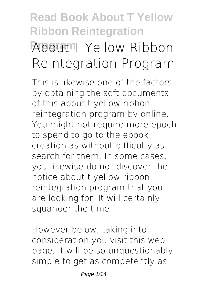# **Read Book About T Yellow Ribbon Reintegration About T** Yellow Ribbon **Reintegration Program**

This is likewise one of the factors by obtaining the soft documents of this **about t yellow ribbon reintegration program** by online. You might not require more epoch to spend to go to the ebook creation as without difficulty as search for them. In some cases, you likewise do not discover the notice about t yellow ribbon reintegration program that you are looking for. It will certainly squander the time.

However below, taking into consideration you visit this web page, it will be so unquestionably simple to get as competently as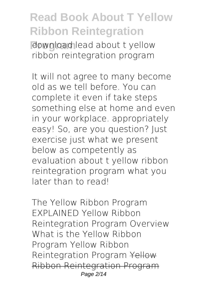**Rownload lead about t yellow** ribbon reintegration program

It will not agree to many become old as we tell before. You can complete it even if take steps something else at home and even in your workplace. appropriately easy! So, are you question? Just exercise just what we present below as competently as evaluation **about t yellow ribbon reintegration program** what you later than to read!

The Yellow Ribbon Program EXPLAINED Yellow Ribbon Reintegration Program Overview **What is the Yellow Ribbon Program Yellow Ribbon Reintegration Program** Yellow Ribbon Reintegration Program Page 2/14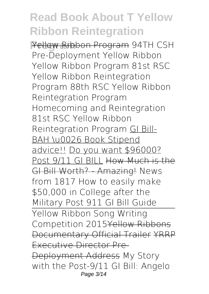**Program** Yellow Ribbon Program *94TH CSH Pre-Deployment Yellow Ribbon Yellow Ribbon Program 81st RSC Yellow Ribbon Reintegration Program* **88th RSC Yellow Ribbon Reintegration Program Homecoming and Reintegration 81st RSC Yellow Ribbon Reintegration Program** GI Bill-BAH \u0026 Book Stipend advice!! Do you want \$96000? Post 9/11 GI BILL How Much is the GI Bill Worth? - Amazing! *News from 1817 How to easily make \$50,000 in College after the Military Post 911 GI Bill Guide* Yellow Ribbon Song Writing Competition 2015Yellow Ribbons Documentary Official Trailer YRRP Executive Director Pre-Deployment Address My Story with the Post-9/11 GI Bill: Angelo Page 3/14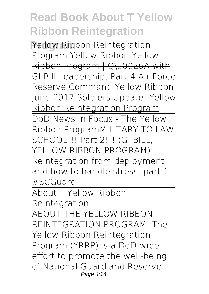**Program** *Yellow Ribbon Reintegration Program* Yellow Ribbon Yellow Ribbon Program | Q\u0026A with GI Bill Leadership, Part 4 **Air Force Reserve Command Yellow Ribbon June 2017** Soldiers Update: Yellow Ribbon Reintegration Program DoD News In Focus - The Yellow Ribbon Program*MILITARY TO LAW SCHOOL!!! Part 2!!! (GI BILL, YELLOW RIBBON PROGRAM)* Reintegration from deployment and how to handle stress, part 1 #SCGuard

About T Yellow Ribbon

Reintegration

ABOUT THE YELLOW RIBBON REINTEGRATION PROGRAM. The Yellow Ribbon Reintegration Program (YRRP) is a DoD-wide effort to promote the well-being of National Guard and Reserve Page 4/14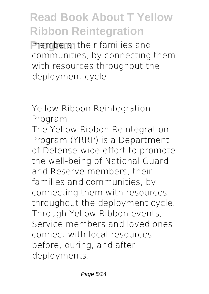**members**, their families and communities, by connecting them with resources throughout the deployment cycle.

Yellow Ribbon Reintegration Program The Yellow Ribbon Reintegration Program (YRRP) is a Department of Defense-wide effort to promote the well-being of National Guard and Reserve members, their families and communities, by connecting them with resources throughout the deployment cycle. Through Yellow Ribbon events, Service members and loved ones connect with local resources before, during, and after deployments.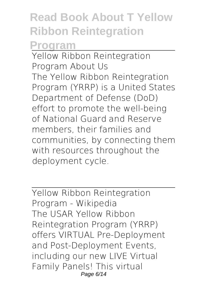**Program**

Yellow Ribbon Reintegration Program About Us The Yellow Ribbon Reintegration Program (YRRP) is a United States Department of Defense (DoD) effort to promote the well-being of National Guard and Reserve members, their families and communities, by connecting them with resources throughout the deployment cycle.

Yellow Ribbon Reintegration Program - Wikipedia The USAR Yellow Ribbon Reintegration Program (YRRP) offers VIRTUAL Pre-Deployment and Post-Deployment Events, including our new LIVE Virtual Family Panels! This virtual Page 6/14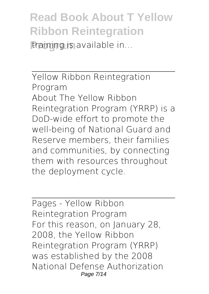training is available in...

Yellow Ribbon Reintegration Program About The Yellow Ribbon Reintegration Program (YRRP) is a DoD-wide effort to promote the well-being of National Guard and Reserve members, their families and communities, by connecting them with resources throughout the deployment cycle.

Pages - Yellow Ribbon Reintegration Program For this reason, on January 28, 2008, the Yellow Ribbon Reintegration Program (YRRP) was established by the 2008 National Defense Authorization Page 7/14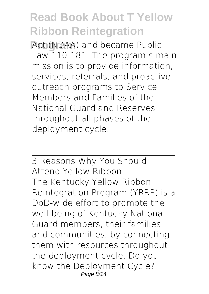**Act (NDAA)** and became Public Law 110-181. The program's main mission is to provide information, services, referrals, and proactive outreach programs to Service Members and Families of the National Guard and Reserves throughout all phases of the deployment cycle.

3 Reasons Why You Should Attend Yellow Ribbon ... The Kentucky Yellow Ribbon Reintegration Program (YRRP) is a DoD-wide effort to promote the well-being of Kentucky National Guard members, their families and communities, by connecting them with resources throughout the deployment cycle. Do you know the Deployment Cycle? Page 8/14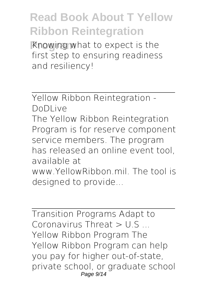**Knowing what to expect is the** first step to ensuring readiness and resiliency!

Yellow Ribbon Reintegration - DoDLive

The Yellow Ribbon Reintegration Program is for reserve component service members. The program has released an online event tool, available at www.YellowRibbon.mil. The tool is designed to provide...

Transition Programs Adapt to Coronavirus Threat  $>$  U.S. Yellow Ribbon Program The Yellow Ribbon Program can help you pay for higher out-of-state, private school, or graduate school Page 9/14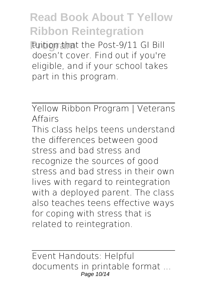**Puition that the Post-9/11 GI Bill** doesn't cover. Find out if you're eligible, and if your school takes part in this program.

Yellow Ribbon Program | Veterans Affairs This class helps teens understand the differences between good stress and bad stress and recognize the sources of good stress and bad stress in their own lives with regard to reintegration with a deployed parent. The class also teaches teens effective ways for coping with stress that is related to reintegration.

Event Handouts: Helpful documents in printable format ... Page 10/14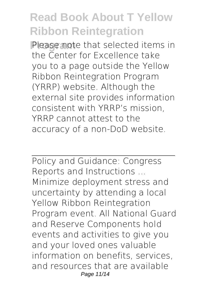**Please note that selected items in** the Center for Excellence take you to a page outside the Yellow Ribbon Reintegration Program (YRRP) website. Although the external site provides information consistent with YRRP's mission, YRRP cannot attest to the accuracy of a non-DoD website.

Policy and Guidance: Congress Reports and Instructions ... Minimize deployment stress and uncertainty by attending a local Yellow Ribbon Reintegration Program event. All National Guard and Reserve Components hold events and activities to give you and your loved ones valuable information on benefits, services, and resources that are available Page 11/14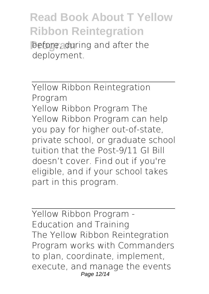**Programa** before, during and after the deployment.

Yellow Ribbon Reintegration Program Yellow Ribbon Program The Yellow Ribbon Program can help you pay for higher out-of-state, private school, or graduate school tuition that the Post-9/11 GI Bill doesn't cover. Find out if you're eligible, and if your school takes part in this program.

Yellow Ribbon Program - Education and Training The Yellow Ribbon Reintegration Program works with Commanders to plan, coordinate, implement, execute, and manage the events Page 12/14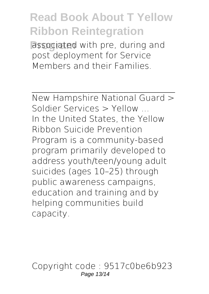**Passociated with pre, during and** post deployment for Service Members and their Families.

New Hampshire National Guard > Soldier Services > Yellow ... In the United States, the Yellow Ribbon Suicide Prevention Program is a community-based program primarily developed to address youth/teen/young adult suicides (ages 10–25) through public awareness campaigns, education and training and by helping communities build capacity.

Copyright code : 9517c0be6b923 Page 13/14